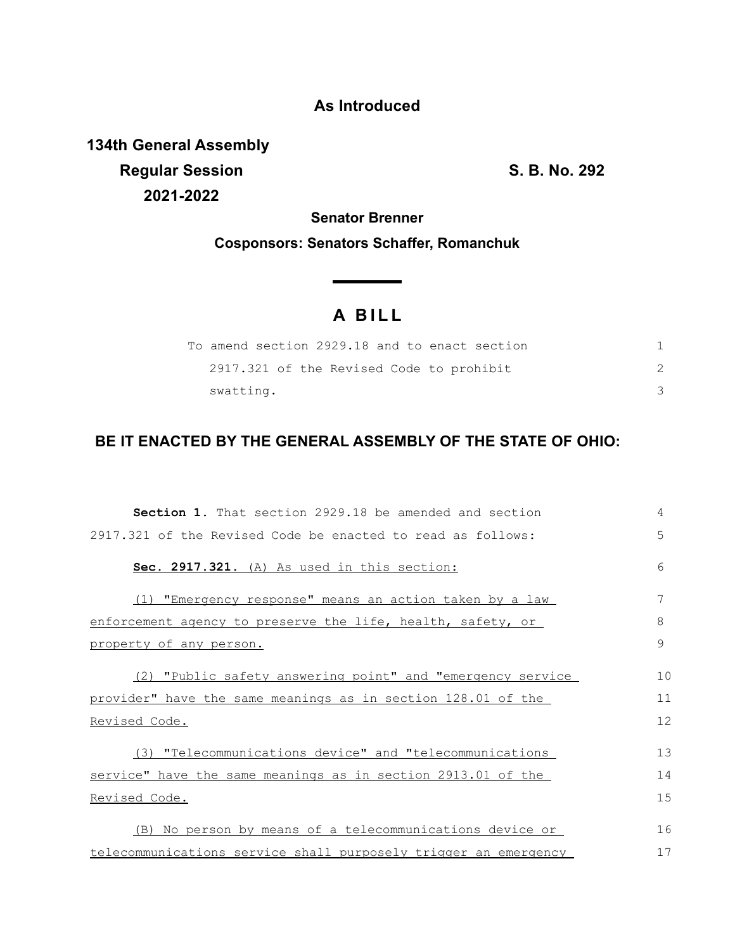## **As Introduced**

**134th General Assembly Regular Session S. B. No. 292 2021-2022**

**Senator Brenner**

**Cosponsors: Senators Schaffer, Romanchuk**

# **A B I L L**

| To amend section 2929.18 and to enact section |  |
|-----------------------------------------------|--|
| 2917.321 of the Revised Code to prohibit      |  |
| swatting.                                     |  |

## **BE IT ENACTED BY THE GENERAL ASSEMBLY OF THE STATE OF OHIO:**

| Section 1. That section 2929.18 be amended and section          | 4             |
|-----------------------------------------------------------------|---------------|
| 2917.321 of the Revised Code be enacted to read as follows:     | 5             |
| Sec. 2917.321. (A) As used in this section:                     | 6             |
| (1) "Emergency response" means an action taken by a law         | 7             |
| enforcement agency to preserve the life, health, safety, or     | 8             |
| property of any person.                                         | $\mathcal{G}$ |
| (2) "Public safety answering point" and "emergency service      | 10            |
| provider" have the same meanings as in section 128.01 of the    | 11            |
| Revised Code.                                                   | 12            |
| (3) "Telecommunications device" and "telecommunications         | 13            |
| service" have the same meanings as in section 2913.01 of the    | 14            |
| Revised Code.                                                   | 15            |
| (B) No person by means of a telecommunications device or        | 16            |
| telecommunications service shall purposely trigger an emergency | 17            |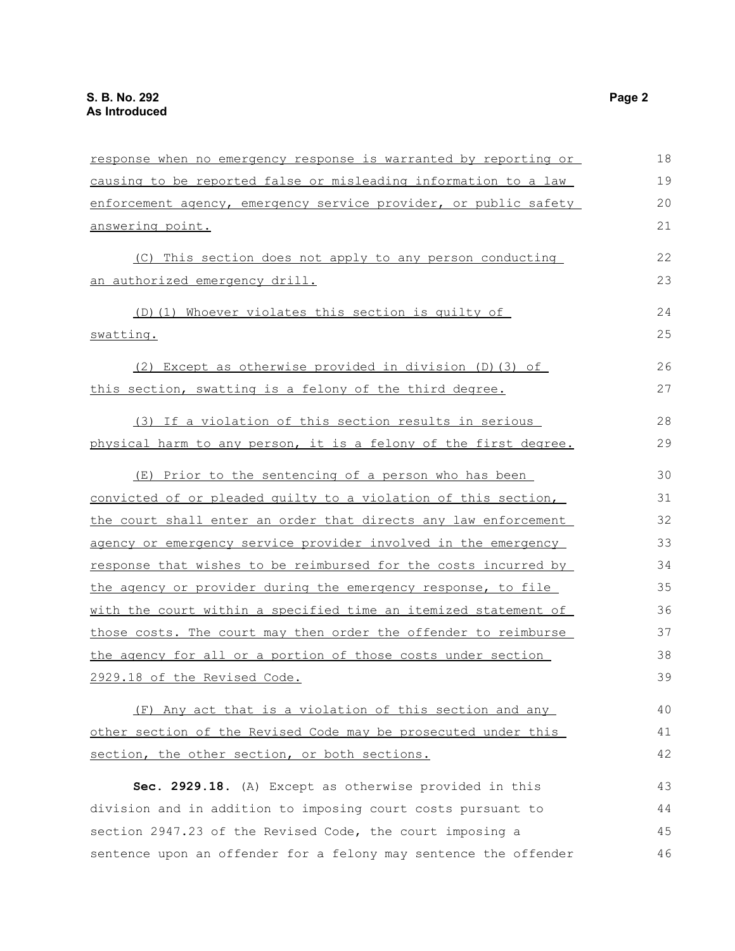| response when no emergency response is warranted by reporting or | 18 |
|------------------------------------------------------------------|----|
| causing to be reported false or misleading information to a law  | 19 |
| enforcement agency, emergency service provider, or public safety | 20 |
| answering point.                                                 |    |
| (C) This section does not apply to any person conducting         | 22 |
| an authorized emergency drill.                                   | 23 |
|                                                                  |    |
| (D) (1) Whoever violates this section is quilty of               | 24 |
| swatting.                                                        | 25 |
| (2) Except as otherwise provided in division (D) (3) of          | 26 |
| this section, swatting is a felony of the third degree.          | 27 |
| (3) If a violation of this section results in serious            | 28 |
| physical harm to any person, it is a felony of the first degree. | 29 |
| (E) Prior to the sentencing of a person who has been             | 30 |
| convicted of or pleaded quilty to a violation of this section,   | 31 |
| the court shall enter an order that directs any law enforcement  | 32 |
| agency or emergency service provider involved in the emergency   | 33 |
| response that wishes to be reimbursed for the costs incurred by  | 34 |
| the agency or provider during the emergency response, to file    | 35 |
| with the court within a specified time an itemized statement of  | 36 |
| those costs. The court may then order the offender to reimburse  | 37 |
| the agency for all or a portion of those costs under section     | 38 |
| 2929.18 of the Revised Code.                                     | 39 |
| (F) Any act that is a violation of this section and any          | 40 |
| other section of the Revised Code may be prosecuted under this   | 41 |
| section, the other section, or both sections.                    | 42 |
| Sec. 2929.18. (A) Except as otherwise provided in this           | 43 |
| division and in addition to imposing court costs pursuant to     | 44 |
| section 2947.23 of the Revised Code, the court imposing a        | 45 |
| sentence upon an offender for a felony may sentence the offender | 46 |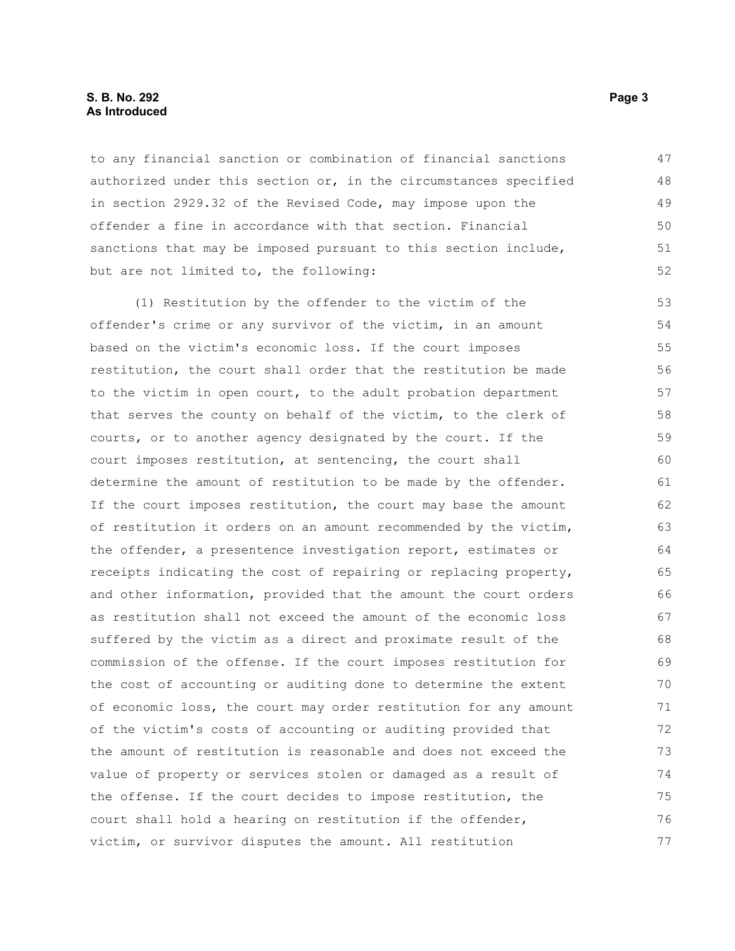### **S. B. No. 292** Page 3 **As Introduced**

to any financial sanction or combination of financial sanctions authorized under this section or, in the circumstances specified in section 2929.32 of the Revised Code, may impose upon the offender a fine in accordance with that section. Financial sanctions that may be imposed pursuant to this section include, but are not limited to, the following:

(1) Restitution by the offender to the victim of the offender's crime or any survivor of the victim, in an amount based on the victim's economic loss. If the court imposes restitution, the court shall order that the restitution be made to the victim in open court, to the adult probation department that serves the county on behalf of the victim, to the clerk of courts, or to another agency designated by the court. If the court imposes restitution, at sentencing, the court shall determine the amount of restitution to be made by the offender. If the court imposes restitution, the court may base the amount of restitution it orders on an amount recommended by the victim, the offender, a presentence investigation report, estimates or receipts indicating the cost of repairing or replacing property, and other information, provided that the amount the court orders as restitution shall not exceed the amount of the economic loss suffered by the victim as a direct and proximate result of the commission of the offense. If the court imposes restitution for the cost of accounting or auditing done to determine the extent of economic loss, the court may order restitution for any amount of the victim's costs of accounting or auditing provided that the amount of restitution is reasonable and does not exceed the value of property or services stolen or damaged as a result of the offense. If the court decides to impose restitution, the court shall hold a hearing on restitution if the offender, victim, or survivor disputes the amount. All restitution 53 54 55 56 57 58 59 60 61 62 63 64 65 66 67 68 69 70 71 72 73 74 75 76 77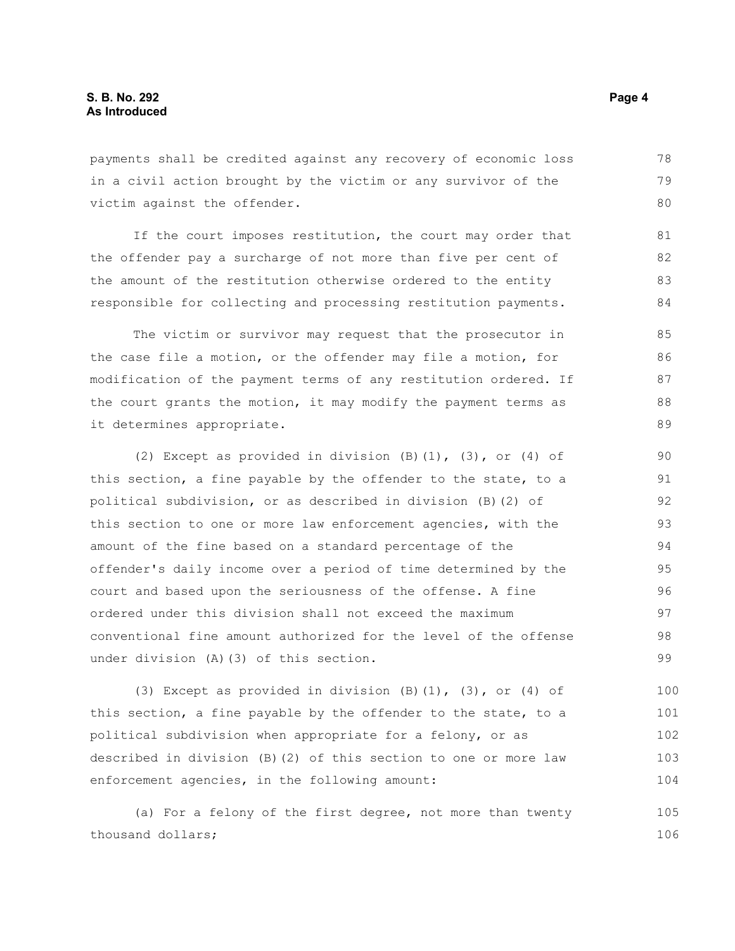payments shall be credited against any recovery of economic loss in a civil action brought by the victim or any survivor of the victim against the offender. 78 79 80

If the court imposes restitution, the court may order that the offender pay a surcharge of not more than five per cent of the amount of the restitution otherwise ordered to the entity responsible for collecting and processing restitution payments.

The victim or survivor may request that the prosecutor in the case file a motion, or the offender may file a motion, for modification of the payment terms of any restitution ordered. If the court grants the motion, it may modify the payment terms as it determines appropriate.

(2) Except as provided in division  $(B)$   $(1)$ ,  $(3)$ , or  $(4)$  of this section, a fine payable by the offender to the state, to a political subdivision, or as described in division (B)(2) of this section to one or more law enforcement agencies, with the amount of the fine based on a standard percentage of the offender's daily income over a period of time determined by the court and based upon the seriousness of the offense. A fine ordered under this division shall not exceed the maximum conventional fine amount authorized for the level of the offense under division (A)(3) of this section. 90 91 92 93 94 95 96 97 98 99

(3) Except as provided in division  $(B)(1)$ ,  $(3)$ , or  $(4)$  of this section, a fine payable by the offender to the state, to a political subdivision when appropriate for a felony, or as described in division (B)(2) of this section to one or more law enforcement agencies, in the following amount: 100 101 102 103 104

(a) For a felony of the first degree, not more than twenty thousand dollars; 105 106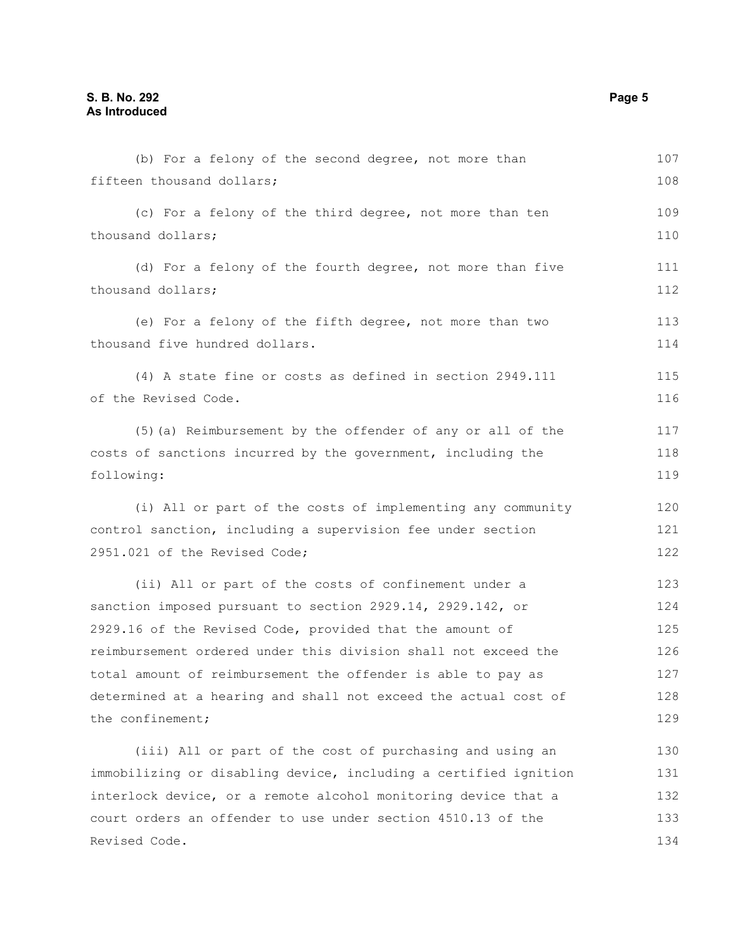| (b) For a felony of the second degree, not more than             | 107        |
|------------------------------------------------------------------|------------|
| fifteen thousand dollars;                                        | 108        |
| (c) For a felony of the third degree, not more than ten          | 109        |
| thousand dollars;                                                | 110        |
| (d) For a felony of the fourth degree, not more than five        | 111        |
| thousand dollars;                                                | 112        |
| (e) For a felony of the fifth degree, not more than two          | 113        |
| thousand five hundred dollars.                                   | 114        |
| (4) A state fine or costs as defined in section 2949.111         | 115        |
| of the Revised Code.                                             | 116        |
| (5) (a) Reimbursement by the offender of any or all of the       | 117        |
| costs of sanctions incurred by the government, including the     | 118        |
| following:                                                       | 119        |
|                                                                  |            |
| (i) All or part of the costs of implementing any community       | 120<br>121 |
| control sanction, including a supervision fee under section      |            |
| 2951.021 of the Revised Code;                                    | 122        |
| (ii) All or part of the costs of confinement under a             | 123        |
| sanction imposed pursuant to section 2929.14, 2929.142, or       | 124        |
| 2929.16 of the Revised Code, provided that the amount of         | 125        |
| reimbursement ordered under this division shall not exceed the   | 126        |
| total amount of reimbursement the offender is able to pay as     | 127        |
| determined at a hearing and shall not exceed the actual cost of  | 128        |
| the confinement;                                                 | 129        |
| (iii) All or part of the cost of purchasing and using an         | 130        |
| immobilizing or disabling device, including a certified ignition | 131        |
| interlock device, or a remote alcohol monitoring device that a   | 132        |
| court orders an offender to use under section 4510.13 of the     | 133        |
| Revised Code.                                                    | 134        |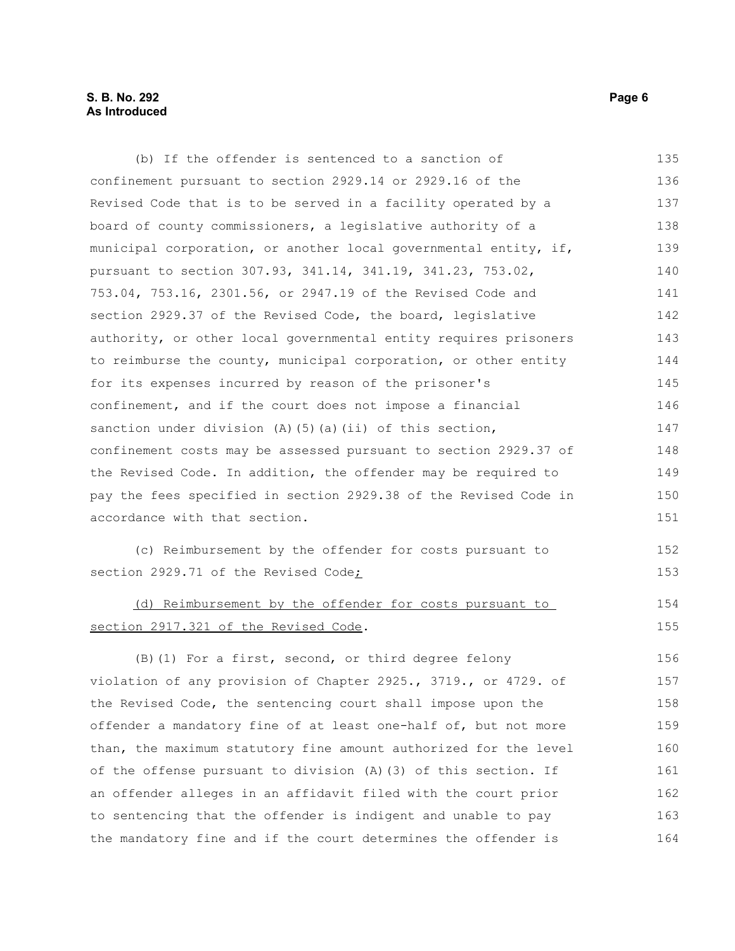## **S. B. No. 292** Page 6 **As Introduced**

| (b) If the offender is sentenced to a sanction of                 | 135 |
|-------------------------------------------------------------------|-----|
| confinement pursuant to section 2929.14 or 2929.16 of the         | 136 |
| Revised Code that is to be served in a facility operated by a     | 137 |
| board of county commissioners, a legislative authority of a       | 138 |
| municipal corporation, or another local governmental entity, if,  | 139 |
| pursuant to section 307.93, 341.14, 341.19, 341.23, 753.02,       | 140 |
| 753.04, 753.16, 2301.56, or 2947.19 of the Revised Code and       | 141 |
| section 2929.37 of the Revised Code, the board, legislative       | 142 |
| authority, or other local governmental entity requires prisoners  | 143 |
| to reimburse the county, municipal corporation, or other entity   | 144 |
| for its expenses incurred by reason of the prisoner's             | 145 |
| confinement, and if the court does not impose a financial         | 146 |
| sanction under division $(A)$ $(5)$ $(a)$ $(ii)$ of this section, | 147 |
| confinement costs may be assessed pursuant to section 2929.37 of  | 148 |
| the Revised Code. In addition, the offender may be required to    | 149 |
| pay the fees specified in section 2929.38 of the Revised Code in  | 150 |
| accordance with that section.                                     | 151 |
| (c) Reimbursement by the offender for costs pursuant to           | 152 |
| section 2929.71 of the Revised Code;                              | 153 |
|                                                                   |     |
| (d) Reimbursement by the offender for costs pursuant to           | 154 |
| section 2917.321 of the Revised Code.                             | 155 |
| (B) (1) For a first, second, or third degree felony               | 156 |
| violation of any provision of Chapter 2925., 3719., or 4729. of   | 157 |
| the Revised Code, the sentencing court shall impose upon the      | 158 |
| offender a mandatory fine of at least one-half of, but not more   | 159 |
| than, the maximum statutory fine amount authorized for the level  | 160 |
| of the offense pursuant to division (A) (3) of this section. If   | 161 |
| an offender alleges in an affidavit filed with the court prior    | 162 |
| to sentencing that the offender is indigent and unable to pay     | 163 |
| the mandatory fine and if the court determines the offender is    | 164 |
|                                                                   |     |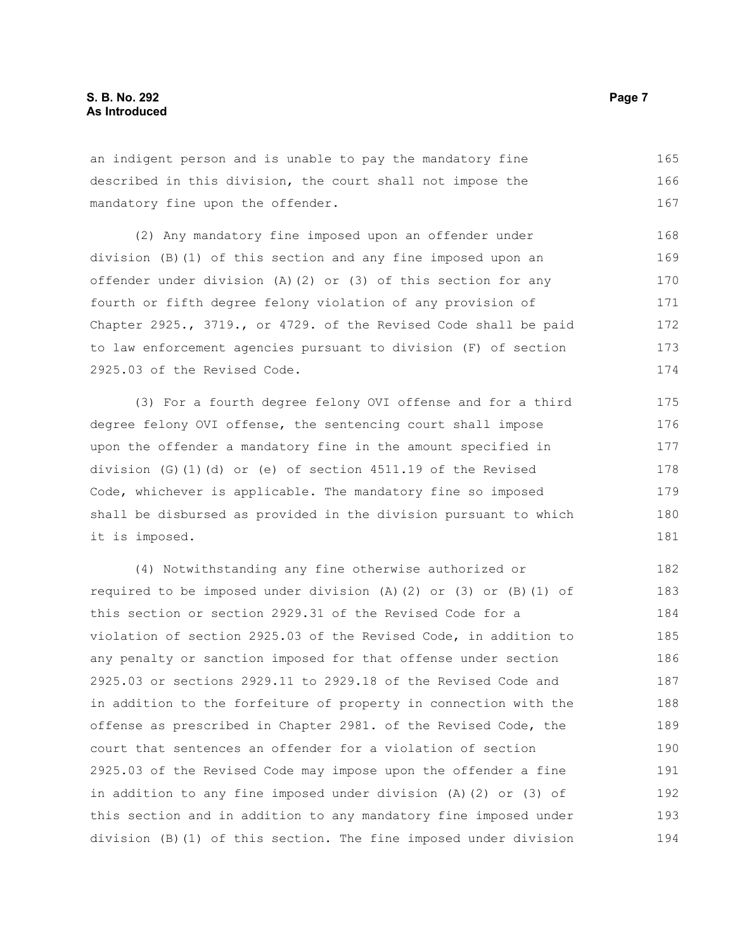an indigent person and is unable to pay the mandatory fine described in this division, the court shall not impose the mandatory fine upon the offender. 165 166 167

(2) Any mandatory fine imposed upon an offender under division (B)(1) of this section and any fine imposed upon an offender under division (A)(2) or (3) of this section for any fourth or fifth degree felony violation of any provision of Chapter 2925., 3719., or 4729. of the Revised Code shall be paid to law enforcement agencies pursuant to division (F) of section 2925.03 of the Revised Code. 168 169 170 171 172 173 174

(3) For a fourth degree felony OVI offense and for a third degree felony OVI offense, the sentencing court shall impose upon the offender a mandatory fine in the amount specified in division (G)(1)(d) or (e) of section 4511.19 of the Revised Code, whichever is applicable. The mandatory fine so imposed shall be disbursed as provided in the division pursuant to which it is imposed.

(4) Notwithstanding any fine otherwise authorized or required to be imposed under division  $(A)(2)$  or  $(3)$  or  $(B)(1)$  of this section or section 2929.31 of the Revised Code for a violation of section 2925.03 of the Revised Code, in addition to any penalty or sanction imposed for that offense under section 2925.03 or sections 2929.11 to 2929.18 of the Revised Code and in addition to the forfeiture of property in connection with the offense as prescribed in Chapter 2981. of the Revised Code, the court that sentences an offender for a violation of section 2925.03 of the Revised Code may impose upon the offender a fine in addition to any fine imposed under division (A)(2) or (3) of this section and in addition to any mandatory fine imposed under division (B)(1) of this section. The fine imposed under division 182 183 184 185 186 187 188 189 190 191 192 193 194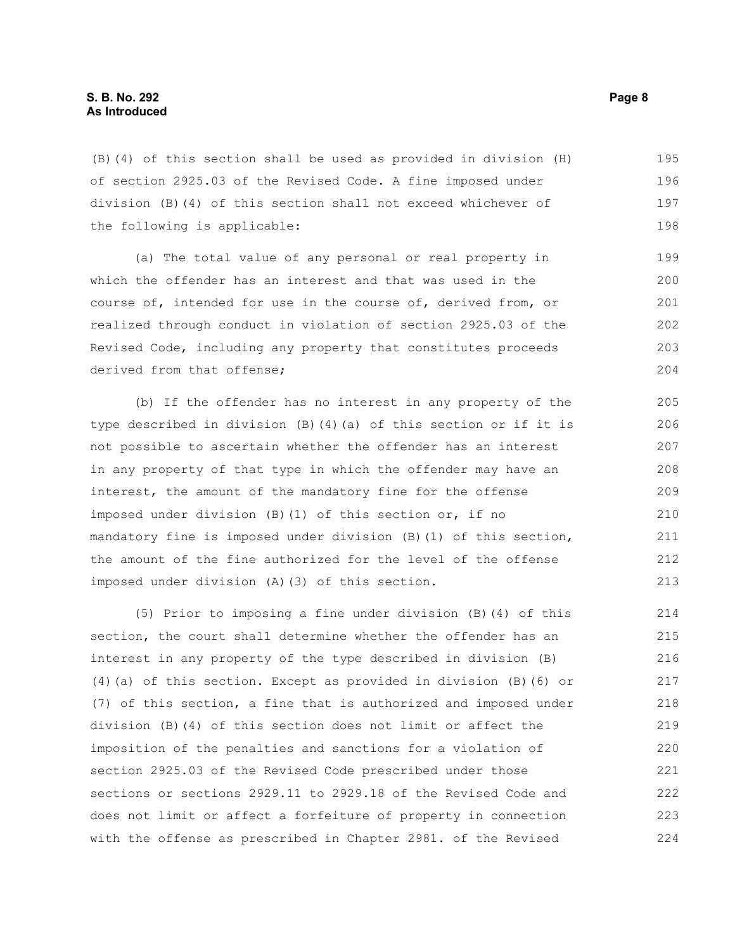(B)(4) of this section shall be used as provided in division (H) of section 2925.03 of the Revised Code. A fine imposed under division (B)(4) of this section shall not exceed whichever of the following is applicable: 195 196 197 198

(a) The total value of any personal or real property in which the offender has an interest and that was used in the course of, intended for use in the course of, derived from, or realized through conduct in violation of section 2925.03 of the Revised Code, including any property that constitutes proceeds derived from that offense;

(b) If the offender has no interest in any property of the type described in division (B)(4)(a) of this section or if it is not possible to ascertain whether the offender has an interest in any property of that type in which the offender may have an interest, the amount of the mandatory fine for the offense imposed under division (B)(1) of this section or, if no mandatory fine is imposed under division (B)(1) of this section, the amount of the fine authorized for the level of the offense imposed under division (A)(3) of this section.

(5) Prior to imposing a fine under division (B)(4) of this section, the court shall determine whether the offender has an interest in any property of the type described in division (B) (4)(a) of this section. Except as provided in division (B)(6) or (7) of this section, a fine that is authorized and imposed under division (B)(4) of this section does not limit or affect the imposition of the penalties and sanctions for a violation of section 2925.03 of the Revised Code prescribed under those sections or sections 2929.11 to 2929.18 of the Revised Code and does not limit or affect a forfeiture of property in connection with the offense as prescribed in Chapter 2981. of the Revised 214 215 216 217 218 219 220 221 222 223 224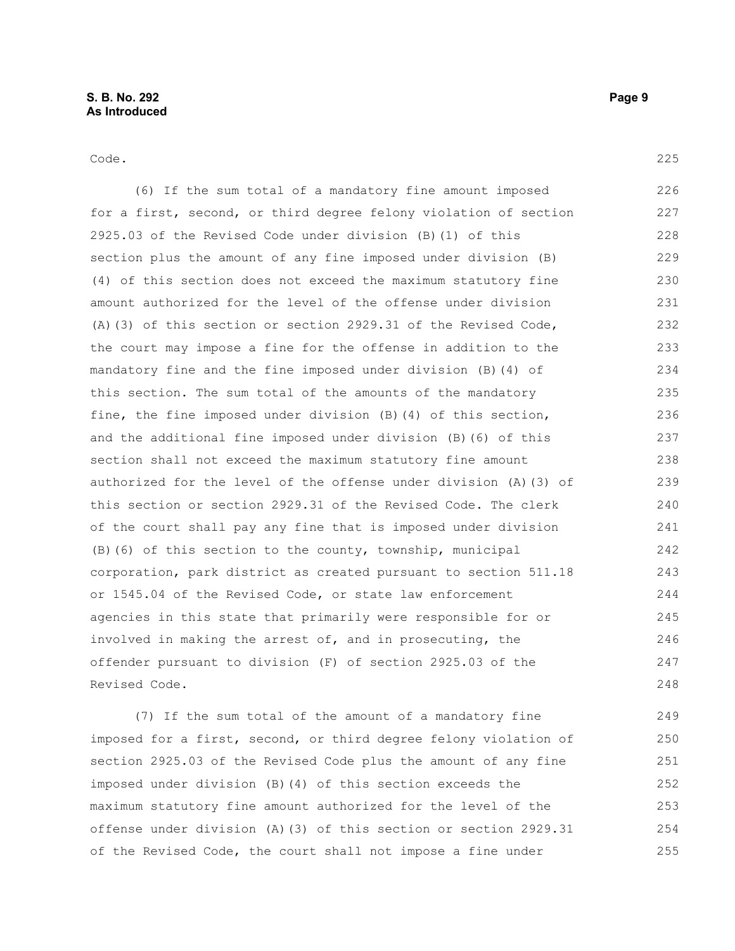Code.

(6) If the sum total of a mandatory fine amount imposed for a first, second, or third degree felony violation of section 2925.03 of the Revised Code under division (B)(1) of this section plus the amount of any fine imposed under division (B) (4) of this section does not exceed the maximum statutory fine amount authorized for the level of the offense under division (A)(3) of this section or section 2929.31 of the Revised Code, the court may impose a fine for the offense in addition to the mandatory fine and the fine imposed under division (B)(4) of this section. The sum total of the amounts of the mandatory fine, the fine imposed under division (B)(4) of this section, and the additional fine imposed under division (B)(6) of this section shall not exceed the maximum statutory fine amount authorized for the level of the offense under division (A)(3) of this section or section 2929.31 of the Revised Code. The clerk of the court shall pay any fine that is imposed under division (B)(6) of this section to the county, township, municipal corporation, park district as created pursuant to section 511.18 or 1545.04 of the Revised Code, or state law enforcement agencies in this state that primarily were responsible for or involved in making the arrest of, and in prosecuting, the offender pursuant to division (F) of section 2925.03 of the Revised Code. 226 227 228 229 230 231 232 233 234 235 236 237 238 239 240 241 242 243 244 245 246 247 248

(7) If the sum total of the amount of a mandatory fine imposed for a first, second, or third degree felony violation of section 2925.03 of the Revised Code plus the amount of any fine imposed under division (B)(4) of this section exceeds the maximum statutory fine amount authorized for the level of the offense under division (A)(3) of this section or section 2929.31 of the Revised Code, the court shall not impose a fine under 249 250 251 252 253 254 255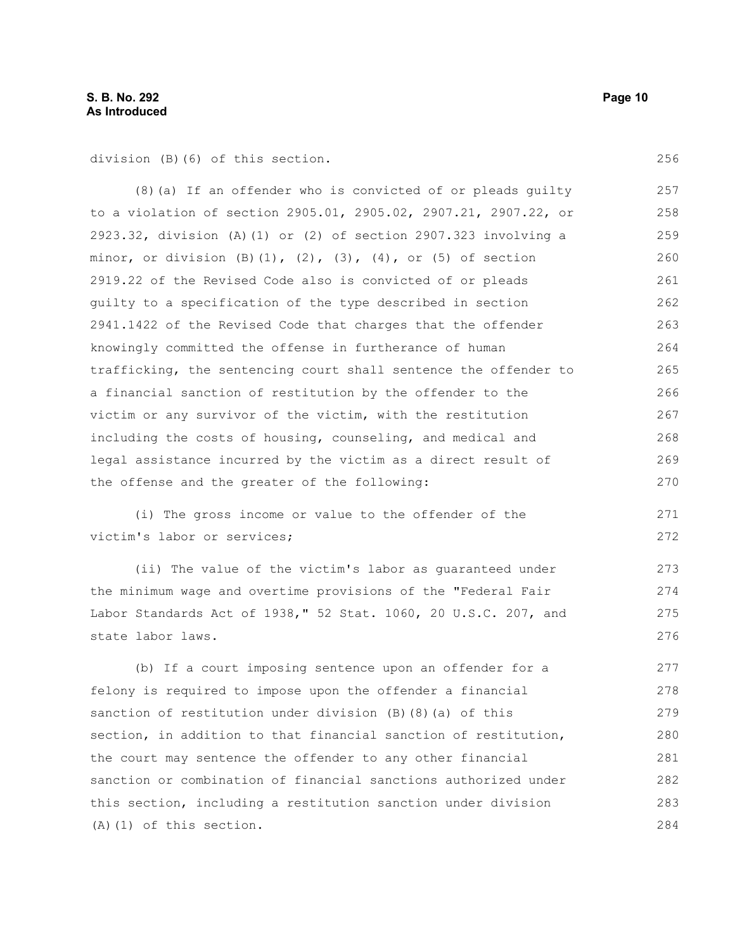division (B)(6) of this section.

(8)(a) If an offender who is convicted of or pleads guilty to a violation of section 2905.01, 2905.02, 2907.21, 2907.22, or 2923.32, division (A)(1) or (2) of section 2907.323 involving a minor, or division  $(B)$   $(1)$ ,  $(2)$ ,  $(3)$ ,  $(4)$ , or  $(5)$  of section 2919.22 of the Revised Code also is convicted of or pleads guilty to a specification of the type described in section 2941.1422 of the Revised Code that charges that the offender knowingly committed the offense in furtherance of human trafficking, the sentencing court shall sentence the offender to a financial sanction of restitution by the offender to the victim or any survivor of the victim, with the restitution including the costs of housing, counseling, and medical and legal assistance incurred by the victim as a direct result of the offense and the greater of the following: 257 258 259 260 261 262 263 264 265 266 267 268 269 270

(i) The gross income or value to the offender of the victim's labor or services;

(ii) The value of the victim's labor as guaranteed under the minimum wage and overtime provisions of the "Federal Fair Labor Standards Act of 1938," 52 Stat. 1060, 20 U.S.C. 207, and state labor laws.

(b) If a court imposing sentence upon an offender for a felony is required to impose upon the offender a financial sanction of restitution under division (B)(8)(a) of this section, in addition to that financial sanction of restitution, the court may sentence the offender to any other financial sanction or combination of financial sanctions authorized under this section, including a restitution sanction under division (A)(1) of this section. 277 278 279 280 281 282 283 284

256

271 272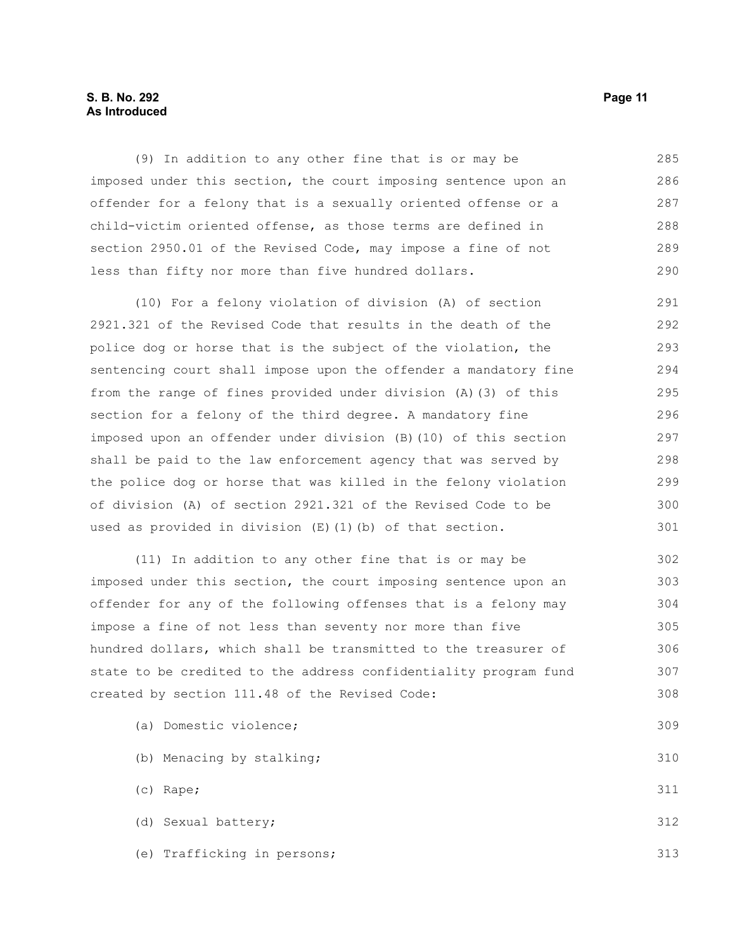## **S. B. No. 292 Page 11 As Introduced**

(9) In addition to any other fine that is or may be imposed under this section, the court imposing sentence upon an offender for a felony that is a sexually oriented offense or a child-victim oriented offense, as those terms are defined in section 2950.01 of the Revised Code, may impose a fine of not less than fifty nor more than five hundred dollars. 285 286 287 288 289 290

(10) For a felony violation of division (A) of section 2921.321 of the Revised Code that results in the death of the police dog or horse that is the subject of the violation, the sentencing court shall impose upon the offender a mandatory fine from the range of fines provided under division (A)(3) of this section for a felony of the third degree. A mandatory fine imposed upon an offender under division (B)(10) of this section shall be paid to the law enforcement agency that was served by the police dog or horse that was killed in the felony violation of division (A) of section 2921.321 of the Revised Code to be used as provided in division (E)(1)(b) of that section. 291 292 293 294 295 296 297 298 299 300 301

(11) In addition to any other fine that is or may be imposed under this section, the court imposing sentence upon an offender for any of the following offenses that is a felony may impose a fine of not less than seventy nor more than five hundred dollars, which shall be transmitted to the treasurer of state to be credited to the address confidentiality program fund created by section 111.48 of the Revised Code: 302 303 304 305 306 307 308

- (a) Domestic violence; (b) Menacing by stalking; (c) Rape; (d) Sexual battery; 309 310 311 312
- (e) Trafficking in persons; 313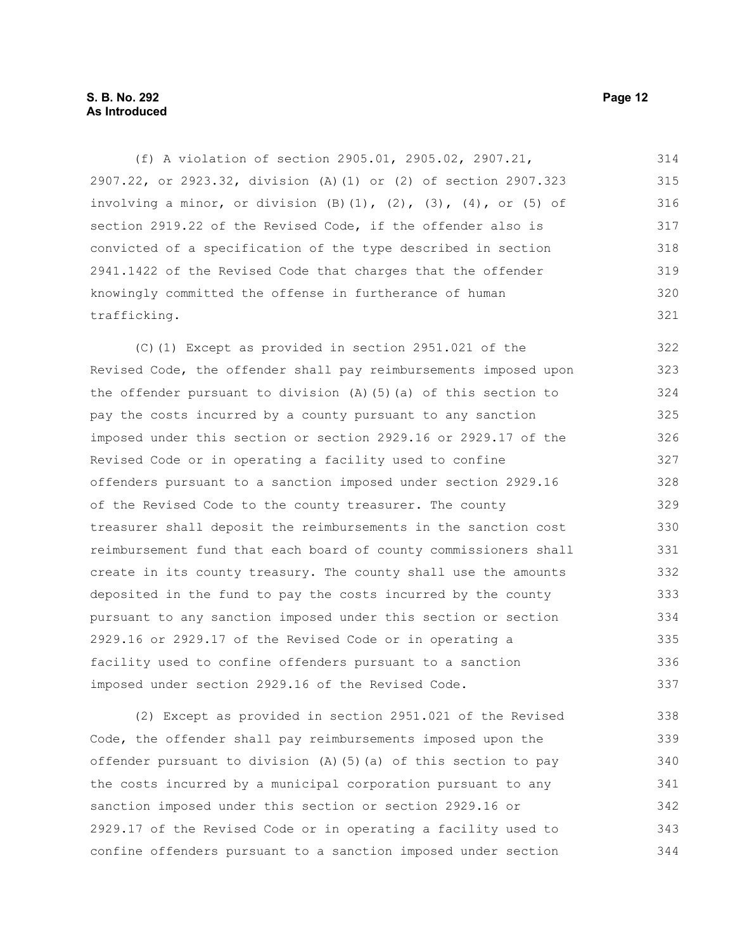## **S. B. No. 292 Page 12 As Introduced**

(f) A violation of section 2905.01, 2905.02, 2907.21, 2907.22, or 2923.32, division (A)(1) or (2) of section 2907.323 involving a minor, or division  $(B)$   $(1)$ ,  $(2)$ ,  $(3)$ ,  $(4)$ , or  $(5)$  of section 2919.22 of the Revised Code, if the offender also is convicted of a specification of the type described in section 2941.1422 of the Revised Code that charges that the offender knowingly committed the offense in furtherance of human trafficking. 314 315 316 317 318 319 320 321

(C)(1) Except as provided in section 2951.021 of the Revised Code, the offender shall pay reimbursements imposed upon the offender pursuant to division (A)(5)(a) of this section to pay the costs incurred by a county pursuant to any sanction imposed under this section or section 2929.16 or 2929.17 of the Revised Code or in operating a facility used to confine offenders pursuant to a sanction imposed under section 2929.16 of the Revised Code to the county treasurer. The county treasurer shall deposit the reimbursements in the sanction cost reimbursement fund that each board of county commissioners shall create in its county treasury. The county shall use the amounts deposited in the fund to pay the costs incurred by the county pursuant to any sanction imposed under this section or section 2929.16 or 2929.17 of the Revised Code or in operating a facility used to confine offenders pursuant to a sanction imposed under section 2929.16 of the Revised Code. 322 323 324 325 326 327 328 329 330 331 332 333 334 335 336 337

(2) Except as provided in section 2951.021 of the Revised Code, the offender shall pay reimbursements imposed upon the offender pursuant to division (A)(5)(a) of this section to pay the costs incurred by a municipal corporation pursuant to any sanction imposed under this section or section 2929.16 or 2929.17 of the Revised Code or in operating a facility used to confine offenders pursuant to a sanction imposed under section 338 339 340 341 342 343 344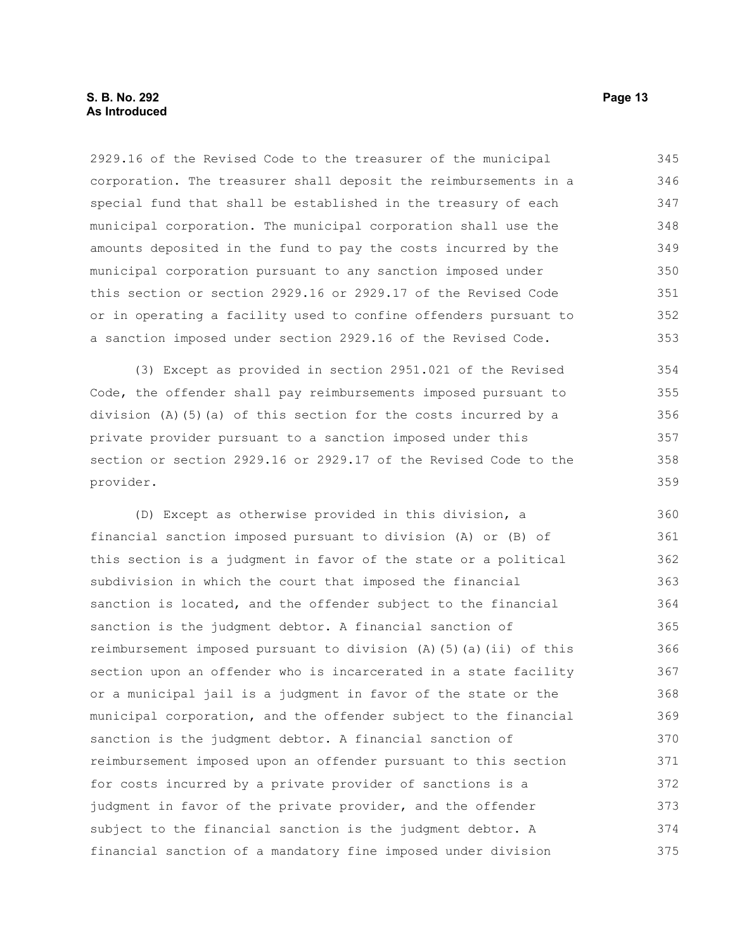2929.16 of the Revised Code to the treasurer of the municipal corporation. The treasurer shall deposit the reimbursements in a special fund that shall be established in the treasury of each municipal corporation. The municipal corporation shall use the amounts deposited in the fund to pay the costs incurred by the municipal corporation pursuant to any sanction imposed under this section or section 2929.16 or 2929.17 of the Revised Code or in operating a facility used to confine offenders pursuant to a sanction imposed under section 2929.16 of the Revised Code. 345 346 347 348 349 350 351 352 353

(3) Except as provided in section 2951.021 of the Revised Code, the offender shall pay reimbursements imposed pursuant to division (A)(5)(a) of this section for the costs incurred by a private provider pursuant to a sanction imposed under this section or section 2929.16 or 2929.17 of the Revised Code to the provider.

(D) Except as otherwise provided in this division, a financial sanction imposed pursuant to division (A) or (B) of this section is a judgment in favor of the state or a political subdivision in which the court that imposed the financial sanction is located, and the offender subject to the financial sanction is the judgment debtor. A financial sanction of reimbursement imposed pursuant to division (A)(5)(a)(ii) of this section upon an offender who is incarcerated in a state facility or a municipal jail is a judgment in favor of the state or the municipal corporation, and the offender subject to the financial sanction is the judgment debtor. A financial sanction of reimbursement imposed upon an offender pursuant to this section for costs incurred by a private provider of sanctions is a judgment in favor of the private provider, and the offender subject to the financial sanction is the judgment debtor. A financial sanction of a mandatory fine imposed under division 360 361 362 363 364 365 366 367 368 369 370 371 372 373 374 375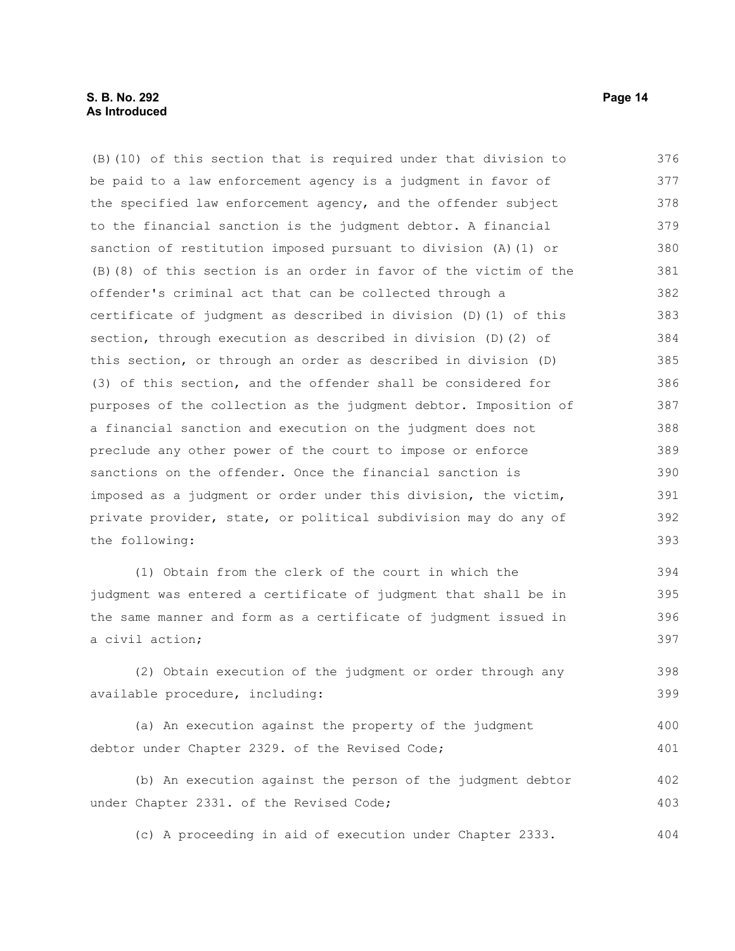### **S. B. No. 292 Page 14 As Introduced**

(B)(10) of this section that is required under that division to be paid to a law enforcement agency is a judgment in favor of the specified law enforcement agency, and the offender subject to the financial sanction is the judgment debtor. A financial sanction of restitution imposed pursuant to division (A)(1) or (B)(8) of this section is an order in favor of the victim of the offender's criminal act that can be collected through a certificate of judgment as described in division (D)(1) of this section, through execution as described in division (D)(2) of this section, or through an order as described in division (D) (3) of this section, and the offender shall be considered for purposes of the collection as the judgment debtor. Imposition of a financial sanction and execution on the judgment does not preclude any other power of the court to impose or enforce sanctions on the offender. Once the financial sanction is imposed as a judgment or order under this division, the victim, private provider, state, or political subdivision may do any of the following: 376 377 378 379 380 381 382 383 384 385 386 387 388 389 390 391 392 393

(1) Obtain from the clerk of the court in which the judgment was entered a certificate of judgment that shall be in the same manner and form as a certificate of judgment issued in a civil action; 394 395 396 397

(2) Obtain execution of the judgment or order through any available procedure, including: 398 399

(a) An execution against the property of the judgment debtor under Chapter 2329. of the Revised Code; 400 401

(b) An execution against the person of the judgment debtor under Chapter 2331. of the Revised Code; 402 403

(c) A proceeding in aid of execution under Chapter 2333. 404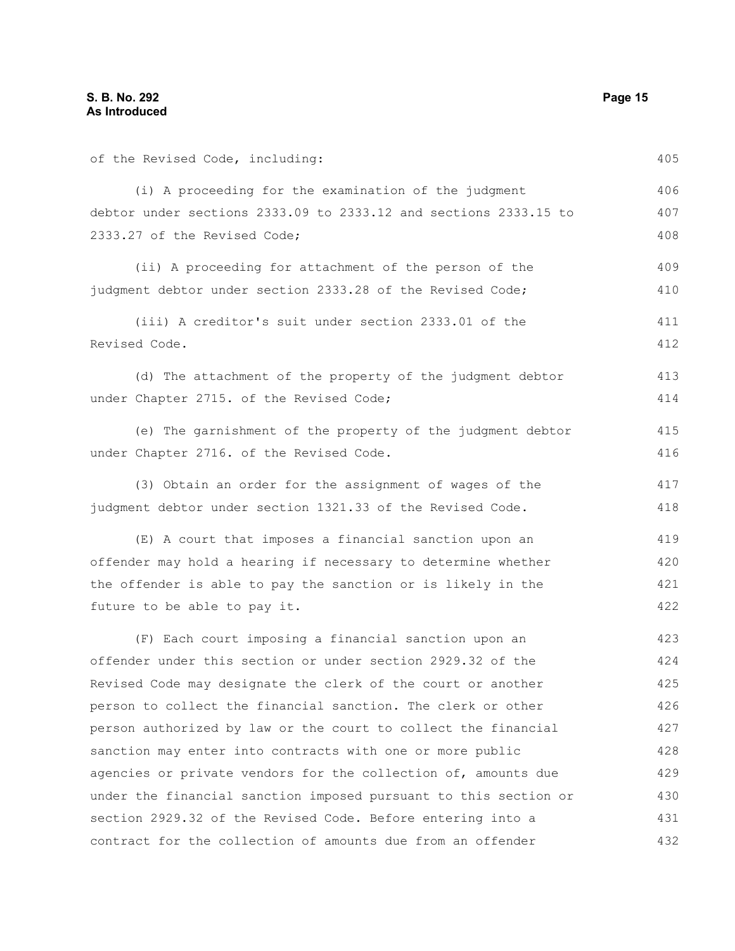Revised Code.

of the Revised Code, including: (i) A proceeding for the examination of the judgment debtor under sections 2333.09 to 2333.12 and sections 2333.15 to 2333.27 of the Revised Code; (ii) A proceeding for attachment of the person of the judgment debtor under section 2333.28 of the Revised Code; (iii) A creditor's suit under section 2333.01 of the (d) The attachment of the property of the judgment debtor under Chapter 2715. of the Revised Code; 406 407 408 409 410 411 412 413 414

(e) The garnishment of the property of the judgment debtor under Chapter 2716. of the Revised Code.

(3) Obtain an order for the assignment of wages of the judgment debtor under section 1321.33 of the Revised Code. 417 418

(E) A court that imposes a financial sanction upon an offender may hold a hearing if necessary to determine whether the offender is able to pay the sanction or is likely in the future to be able to pay it. 419 420 421 422

(F) Each court imposing a financial sanction upon an offender under this section or under section 2929.32 of the Revised Code may designate the clerk of the court or another person to collect the financial sanction. The clerk or other person authorized by law or the court to collect the financial sanction may enter into contracts with one or more public agencies or private vendors for the collection of, amounts due under the financial sanction imposed pursuant to this section or section 2929.32 of the Revised Code. Before entering into a contract for the collection of amounts due from an offender 423 424 425 426 427 428 429 430 431 432

405